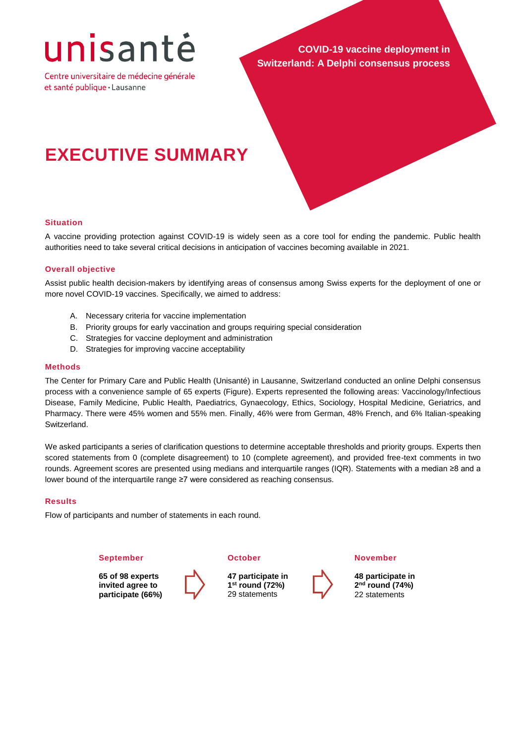# unisantė

Centre universitaire de médecine générale et santé publique · Lausanne

**COVID-19 vaccine deployment in Switzerland: A Delphi consensus process**

# **EXECUTIVE SUMMARY**

# **Situation**

A vaccine providing protection against COVID-19 is widely seen as a core tool for ending the pandemic. Public health authorities need to take several critical decisions in anticipation of vaccines becoming available in 2021.

# **Overall objective**

Assist public health decision-makers by identifying areas of consensus among Swiss experts for the deployment of one or more novel COVID-19 vaccines. Specifically, we aimed to address:

- A. Necessary criteria for vaccine implementation
- B. Priority groups for early vaccination and groups requiring special consideration
- C. Strategies for vaccine deployment and administration
- D. Strategies for improving vaccine acceptability

#### **Methods**

The Center for Primary Care and Public Health (Unisanté) in Lausanne, Switzerland conducted an online Delphi consensus process with a convenience sample of 65 experts (Figure). Experts represented the following areas: Vaccinology/Infectious Disease, Family Medicine, Public Health, Paediatrics, Gynaecology, Ethics, Sociology, Hospital Medicine, Geriatrics, and Pharmacy. There were 45% women and 55% men. Finally, 46% were from German, 48% French, and 6% Italian-speaking Switzerland.

We asked participants a series of clarification questions to determine acceptable thresholds and priority groups. Experts then scored statements from 0 (complete disagreement) to 10 (complete agreement), and provided free-text comments in two rounds. Agreement scores are presented using medians and interquartile ranges (IQR). Statements with a median ≥8 and a lower bound of the interquartile range ≥7 were considered as reaching consensus.

# **Results**

Flow of participants and number of statements in each round.

#### **September**

**65 of 98 experts invited agree to participate (66%)**



**47 participate in 1 st round (72%)** 29 statements

**November**